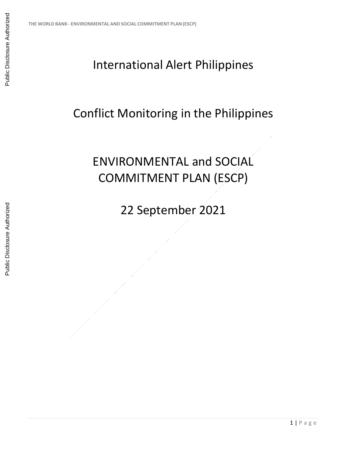## International Alert Philippines

## Conflict Monitoring in the Philippines

## ENVIRONMENTAL and SOCIAL COMMITMENT PLAN (ESCP)

22 September 2021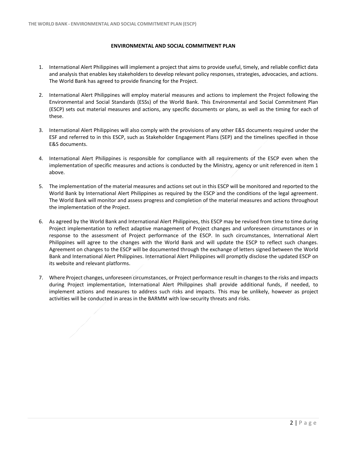## **ENVIRONMENTAL AND SOCIAL COMMITMENT PLAN**

- 1. International Alert Philippines will implement a project that aims to provide useful, timely, and reliable conflict data and analysis that enables key stakeholders to develop relevant policy responses, strategies, advocacies, and actions. The World Bank has agreed to provide financing for the Project.
- 2. International Alert Philippines will employ material measures and actions to implement the Project following the Environmental and Social Standards (ESSs) of the World Bank. This Environmental and Social Commitment Plan (ESCP) sets out material measures and actions, any specific documents or plans, as well as the timing for each of these.
- 3. International Alert Philippines will also comply with the provisions of any other E&S documents required under the ESF and referred to in this ESCP, such as Stakeholder Engagement Plans (SEP) and the timelines specified in those E&S documents.
- 4. International Alert Philippines is responsible for compliance with all requirements of the ESCP even when the implementation of specific measures and actions is conducted by the Ministry, agency or unit referenced in item 1 above.
- 5. The implementation of the material measures and actions set out in this ESCP will be monitored and reported to the World Bank by International Alert Philippines as required by the ESCP and the conditions of the legal agreement. The World Bank will monitor and assess progress and completion of the material measures and actions throughout the implementation of the Project.
- 6. As agreed by the World Bank and International Alert Philippines, this ESCP may be revised from time to time during Project implementation to reflect adaptive management of Project changes and unforeseen circumstances or in response to the assessment of Project performance of the ESCP. In such circumstances, International Alert Philippines will agree to the changes with the World Bank and will update the ESCP to reflect such changes. Agreement on changes to the ESCP will be documented through the exchange of letters signed between the World Bank and International Alert Philippines. International Alert Philippines will promptly disclose the updated ESCP on its website and relevant platforms.
- 7. Where Project changes, unforeseen circumstances, or Project performance result in changes to the risks and impacts during Project implementation, International Alert Philippines shall provide additional funds, if needed, to implement actions and measures to address such risks and impacts. This may be unlikely, however as project activities will be conducted in areas in the BARMM with low-security threats and risks.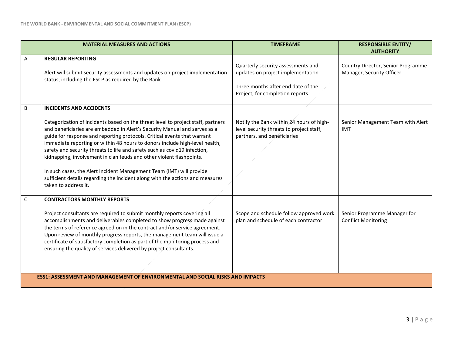|   | <b>MATERIAL MEASURES AND ACTIONS</b>                                                                                                                                                                                                                                                                                                                                                                                                                                                                                                                                                                                                                                                             | <b>TIMEFRAME</b>                                                                                                                                 | <b>RESPONSIBLE ENTITY/</b><br><b>AUTHORITY</b>                  |  |
|---|--------------------------------------------------------------------------------------------------------------------------------------------------------------------------------------------------------------------------------------------------------------------------------------------------------------------------------------------------------------------------------------------------------------------------------------------------------------------------------------------------------------------------------------------------------------------------------------------------------------------------------------------------------------------------------------------------|--------------------------------------------------------------------------------------------------------------------------------------------------|-----------------------------------------------------------------|--|
| A | <b>REGULAR REPORTING</b><br>Alert will submit security assessments and updates on project implementation<br>status, including the ESCP as required by the Bank.                                                                                                                                                                                                                                                                                                                                                                                                                                                                                                                                  | Quarterly security assessments and<br>updates on project implementation<br>Three months after end date of the<br>Project, for completion reports | Country Director, Senior Programme<br>Manager, Security Officer |  |
| B | <b>INCIDENTS AND ACCIDENTS</b><br>Categorization of incidents based on the threat level to project staff, partners<br>and beneficiaries are embedded in Alert's Security Manual and serves as a<br>guide for response and reporting protocols. Critical events that warrant<br>immediate reporting or within 48 hours to donors include high-level health,<br>safety and security threats to life and safety such as covid19 infection,<br>kidnapping, involvement in clan feuds and other violent flashpoints.<br>In such cases, the Alert Incident Management Team (IMT) will provide<br>sufficient details regarding the incident along with the actions and measures<br>taken to address it. | Notify the Bank within 24 hours of high-<br>level security threats to project staff,<br>partners, and beneficiaries                              | Senior Management Team with Alert<br>IMT                        |  |
| C | <b>CONTRACTORS MONTHLY REPORTS</b><br>Project consultants are required to submit monthly reports covering all<br>accomplishments and deliverables completed to show progress made against<br>the terms of reference agreed on in the contract and/or service agreement.<br>Upon review of monthly progress reports, the management team will issue a<br>certificate of satisfactory completion as part of the monitoring process and<br>ensuring the quality of services delivered by project consultants.                                                                                                                                                                                       | Scope and schedule follow approved work<br>plan and schedule of each contractor                                                                  | Senior Programme Manager for<br><b>Conflict Monitoring</b>      |  |
|   | <b>ESS1: ASSESSMENT AND MANAGEMENT OF ENVIRONMENTAL AND SOCIAL RISKS AND IMPACTS</b>                                                                                                                                                                                                                                                                                                                                                                                                                                                                                                                                                                                                             |                                                                                                                                                  |                                                                 |  |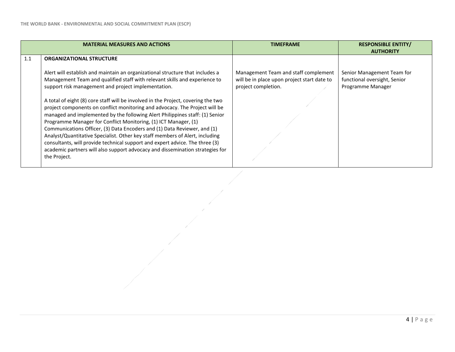|     | <b>MATERIAL MEASURES AND ACTIONS</b>                                                                                                                                                                                                                                                                                                                                                                                                                                                                                                                                                                                                                                                                                                                                                                                                                                                                                      | <b>TIMEFRAME</b>                                                                                           | <b>RESPONSIBLE ENTITY/</b><br><b>AUTHORITY</b>                                  |
|-----|---------------------------------------------------------------------------------------------------------------------------------------------------------------------------------------------------------------------------------------------------------------------------------------------------------------------------------------------------------------------------------------------------------------------------------------------------------------------------------------------------------------------------------------------------------------------------------------------------------------------------------------------------------------------------------------------------------------------------------------------------------------------------------------------------------------------------------------------------------------------------------------------------------------------------|------------------------------------------------------------------------------------------------------------|---------------------------------------------------------------------------------|
| 1.1 | <b>ORGANIZATIONAL STRUCTURE</b><br>Alert will establish and maintain an organizational structure that includes a<br>Management Team and qualified staff with relevant skills and experience to<br>support risk management and project implementation.<br>A total of eight (8) core staff will be involved in the Project, covering the two<br>project components on conflict monitoring and advocacy. The Project will be<br>managed and implemented by the following Alert Philippines staff: (1) Senior<br>Programme Manager for Conflict Monitoring, (1) ICT Manager, (1)<br>Communications Officer, (3) Data Encoders and (1) Data Reviewer, and (1)<br>Analyst/Quantitative Specialist. Other key staff members of Alert, including<br>consultants, will provide technical support and expert advice. The three (3)<br>academic partners will also support advocacy and dissemination strategies for<br>the Project. | Management Team and staff complement<br>will be in place upon project start date to<br>project completion. | Senior Management Team for<br>functional oversight, Senior<br>Programme Manager |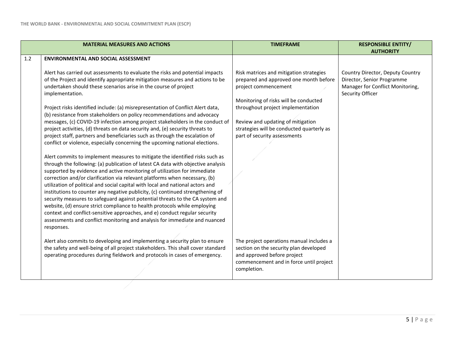|     | <b>MATERIAL MEASURES AND ACTIONS</b>                                                                                                                                                                                                                                                                                                                                                                                                                                                                                                                                                                                                                                                                                                                                                                                                                                                                                                                                                                                                                                                                                                                                                                                                                                                                                                                                                                                                                                                                                                                                                                                                         | <b>TIMEFRAME</b>                                                                                                                                                                                                                                                                                          | <b>RESPONSIBLE ENTITY/</b><br><b>AUTHORITY</b>                                                                         |
|-----|----------------------------------------------------------------------------------------------------------------------------------------------------------------------------------------------------------------------------------------------------------------------------------------------------------------------------------------------------------------------------------------------------------------------------------------------------------------------------------------------------------------------------------------------------------------------------------------------------------------------------------------------------------------------------------------------------------------------------------------------------------------------------------------------------------------------------------------------------------------------------------------------------------------------------------------------------------------------------------------------------------------------------------------------------------------------------------------------------------------------------------------------------------------------------------------------------------------------------------------------------------------------------------------------------------------------------------------------------------------------------------------------------------------------------------------------------------------------------------------------------------------------------------------------------------------------------------------------------------------------------------------------|-----------------------------------------------------------------------------------------------------------------------------------------------------------------------------------------------------------------------------------------------------------------------------------------------------------|------------------------------------------------------------------------------------------------------------------------|
|     |                                                                                                                                                                                                                                                                                                                                                                                                                                                                                                                                                                                                                                                                                                                                                                                                                                                                                                                                                                                                                                                                                                                                                                                                                                                                                                                                                                                                                                                                                                                                                                                                                                              |                                                                                                                                                                                                                                                                                                           |                                                                                                                        |
| 1.2 | <b>ENVIRONMENTAL AND SOCIAL ASSESSMENT</b><br>Alert has carried out assessments to evaluate the risks and potential impacts<br>of the Project and identify appropriate mitigation measures and actions to be<br>undertaken should these scenarios arise in the course of project<br>implementation.<br>Project risks identified include: (a) misrepresentation of Conflict Alert data,<br>(b) resistance from stakeholders on policy recommendations and advocacy<br>messages, (c) COVID-19 infection among project stakeholders in the conduct of<br>project activities, (d) threats on data security and, (e) security threats to<br>project staff, partners and beneficiaries such as through the escalation of<br>conflict or violence, especially concerning the upcoming national elections.<br>Alert commits to implement measures to mitigate the identified risks such as<br>through the following: (a) publication of latest CA data with objective analysis<br>supported by evidence and active monitoring of utilization for immediate<br>correction and/or clarification via relevant platforms when necessary, (b)<br>utilization of political and social capital with local and national actors and<br>institutions to counter any negative publicity, (c) continued strengthening of<br>security measures to safeguard against potential threats to the CA system and<br>website, (d) ensure strict compliance to health protocols while employing<br>context and conflict-sensitive approaches, and e) conduct regular security<br>assessments and conflict monitoring and analysis for immediate and nuanced<br>responses. | Risk matrices and mitigation strategies<br>prepared and approved one month before<br>project commencement<br>Monitoring of risks will be conducted<br>throughout project implementation<br>Review and updating of mitigation<br>strategies will be conducted quarterly as<br>part of security assessments | Country Director, Deputy Country<br>Director, Senior Programme<br>Manager for Conflict Monitoring,<br>Security Officer |
|     | Alert also commits to developing and implementing a security plan to ensure<br>the safety and well-being of all project stakeholders. This shall cover standard<br>operating procedures during fieldwork and protocols in cases of emergency.                                                                                                                                                                                                                                                                                                                                                                                                                                                                                                                                                                                                                                                                                                                                                                                                                                                                                                                                                                                                                                                                                                                                                                                                                                                                                                                                                                                                | The project operations manual includes a<br>section on the security plan developed<br>and approved before project<br>commencement and in force until project<br>completion.                                                                                                                               |                                                                                                                        |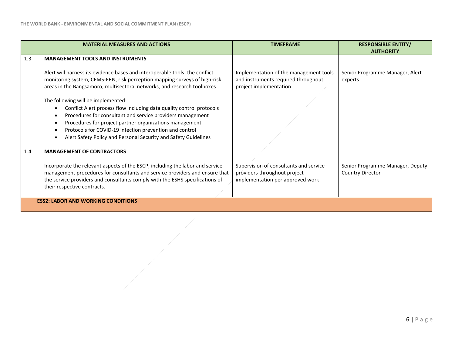|     | <b>MATERIAL MEASURES AND ACTIONS</b>                                                                                                                                                                                                                                                                                                                                           | <b>TIMEFRAME</b>                                                                                           | <b>RESPONSIBLE ENTITY/</b><br><b>AUTHORITY</b>              |
|-----|--------------------------------------------------------------------------------------------------------------------------------------------------------------------------------------------------------------------------------------------------------------------------------------------------------------------------------------------------------------------------------|------------------------------------------------------------------------------------------------------------|-------------------------------------------------------------|
| 1.3 | <b>MANAGEMENT TOOLS AND INSTRUMENTS</b>                                                                                                                                                                                                                                                                                                                                        |                                                                                                            |                                                             |
|     | Alert will harness its evidence bases and interoperable tools: the conflict<br>monitoring system, CEMS-ERN, risk perception mapping surveys of high-risk<br>areas in the Bangsamoro, multisectoral networks, and research toolboxes.                                                                                                                                           | Implementation of the management tools<br>and instruments required throughout<br>project implementation    | Senior Programme Manager, Alert<br>experts                  |
|     | The following will be implemented:<br>Conflict Alert process flow including data quality control protocols<br>Procedures for consultant and service providers management<br>Procedures for project partner organizations management<br>$\bullet$<br>Protocols for COVID-19 infection prevention and control<br>Alert Safety Policy and Personal Security and Safety Guidelines |                                                                                                            |                                                             |
| 1.4 | <b>MANAGEMENT OF CONTRACTORS</b>                                                                                                                                                                                                                                                                                                                                               |                                                                                                            |                                                             |
|     | Incorporate the relevant aspects of the ESCP, including the labor and service<br>management procedures for consultants and service providers and ensure that<br>the service providers and consultants comply with the ESHS specifications of<br>their respective contracts.                                                                                                    | Supervision of consultants and service<br>providers throughout project<br>implementation per approved work | Senior Programme Manager, Deputy<br><b>Country Director</b> |
|     | <b>ESS2: LABOR AND WORKING CONDITIONS</b>                                                                                                                                                                                                                                                                                                                                      |                                                                                                            |                                                             |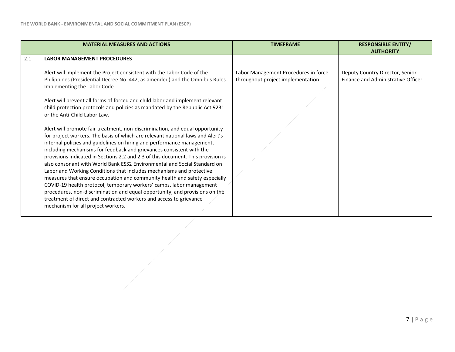|     | <b>MATERIAL MEASURES AND ACTIONS</b>                                                                                                                                                                                                                                                                                                                                                                                                                                                                                                                                                                                                                                                                                                             | <b>TIMEFRAME</b>                                                           | <b>RESPONSIBLE ENTITY/</b>                                                                |
|-----|--------------------------------------------------------------------------------------------------------------------------------------------------------------------------------------------------------------------------------------------------------------------------------------------------------------------------------------------------------------------------------------------------------------------------------------------------------------------------------------------------------------------------------------------------------------------------------------------------------------------------------------------------------------------------------------------------------------------------------------------------|----------------------------------------------------------------------------|-------------------------------------------------------------------------------------------|
| 2.1 | <b>LABOR MANAGEMENT PROCEDURES</b><br>Alert will implement the Project consistent with the Labor Code of the<br>Philippines (Presidential Decree No. 442, as amended) and the Omnibus Rules<br>Implementing the Labor Code.<br>Alert will prevent all forms of forced and child labor and implement relevant<br>child protection protocols and policies as mandated by the Republic Act 9231<br>or the Anti-Child Labor Law.<br>Alert will promote fair treatment, non-discrimination, and equal opportunity<br>for project workers. The basis of which are relevant national laws and Alert's<br>internal policies and guidelines on hiring and performance management,<br>including mechanisms for feedback and grievances consistent with the | Labor Management Procedures in force<br>throughout project implementation. | <b>AUTHORITY</b><br>Deputy Country Director, Senior<br>Finance and Administrative Officer |
|     | provisions indicated in Sections 2.2 and 2.3 of this document. This provision is<br>also consonant with World Bank ESS2 Environmental and Social Standard on<br>Labor and Working Conditions that includes mechanisms and protective<br>measures that ensure occupation and community health and safety especially<br>COVID-19 health protocol, temporary workers' camps, labor management<br>procedures, non-discrimination and equal opportunity, and provisions on the<br>treatment of direct and contracted workers and access to grievance<br>mechanism for all project workers.                                                                                                                                                            |                                                                            |                                                                                           |
|     |                                                                                                                                                                                                                                                                                                                                                                                                                                                                                                                                                                                                                                                                                                                                                  |                                                                            |                                                                                           |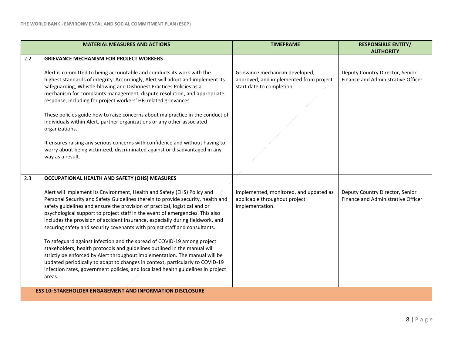|     | <b>MATERIAL MEASURES AND ACTIONS</b>                                                                                                                                                                                                                                                                                                                                                                                                                                                       | <b>TIMEFRAME</b>                                                                                      | <b>RESPONSIBLE ENTITY/</b><br><b>AUTHORITY</b>                        |  |
|-----|--------------------------------------------------------------------------------------------------------------------------------------------------------------------------------------------------------------------------------------------------------------------------------------------------------------------------------------------------------------------------------------------------------------------------------------------------------------------------------------------|-------------------------------------------------------------------------------------------------------|-----------------------------------------------------------------------|--|
| 2.2 | <b>GRIEVANCE MECHANISM FOR PROJECT WORKERS</b>                                                                                                                                                                                                                                                                                                                                                                                                                                             |                                                                                                       |                                                                       |  |
|     | Alert is committed to being accountable and conducts its work with the<br>highest standards of integrity. Accordingly, Alert will adopt and implement its<br>Safeguarding, Whistle-blowing and Dishonest Practices Policies as a<br>mechanism for complaints management, dispute resolution, and appropriate<br>response, including for project workers' HR-related grievances.                                                                                                            | Grievance mechanism developed,<br>approved, and implemented from project<br>start date to completion. | Deputy Country Director, Senior<br>Finance and Administrative Officer |  |
|     | These policies guide how to raise concerns about malpractice in the conduct of<br>individuals within Alert, partner organizations or any other associated<br>organizations.                                                                                                                                                                                                                                                                                                                |                                                                                                       |                                                                       |  |
|     | It ensures raising any serious concerns with confidence and without having to<br>worry about being victimized, discriminated against or disadvantaged in any<br>way as a result.                                                                                                                                                                                                                                                                                                           |                                                                                                       |                                                                       |  |
| 2.3 | OCCUPATIONAL HEALTH AND SAFETY (OHS) MEASURES                                                                                                                                                                                                                                                                                                                                                                                                                                              |                                                                                                       |                                                                       |  |
|     | Alert will implement its Environment, Health and Safety (EHS) Policy and<br>Personal Security and Safety Guidelines therein to provide security, health and<br>safety guidelines and ensure the provision of practical, logistical and or<br>psychological support to project staff in the event of emergencies. This also<br>includes the provision of accident insurance, especially during fieldwork, and<br>securing safety and security covenants with project staff and consultants. | Implemented, monitored, and updated as<br>applicable throughout project<br>implementation.            | Deputy Country Director, Senior<br>Finance and Administrative Officer |  |
|     | To safeguard against infection and the spread of COVID-19 among project<br>stakeholders, health protocols and guidelines outlined in the manual will<br>strictly be enforced by Alert throughout implementation. The manual will be<br>updated periodically to adapt to changes in context, particularly to COVID-19                                                                                                                                                                       |                                                                                                       |                                                                       |  |
|     | infection rates, government policies, and localized health guidelines in project<br>areas.                                                                                                                                                                                                                                                                                                                                                                                                 |                                                                                                       |                                                                       |  |
|     | <b>ESS 10: STAKEHOLDER ENGAGEMENT AND INFORMATION DISCLOSURE</b>                                                                                                                                                                                                                                                                                                                                                                                                                           |                                                                                                       |                                                                       |  |